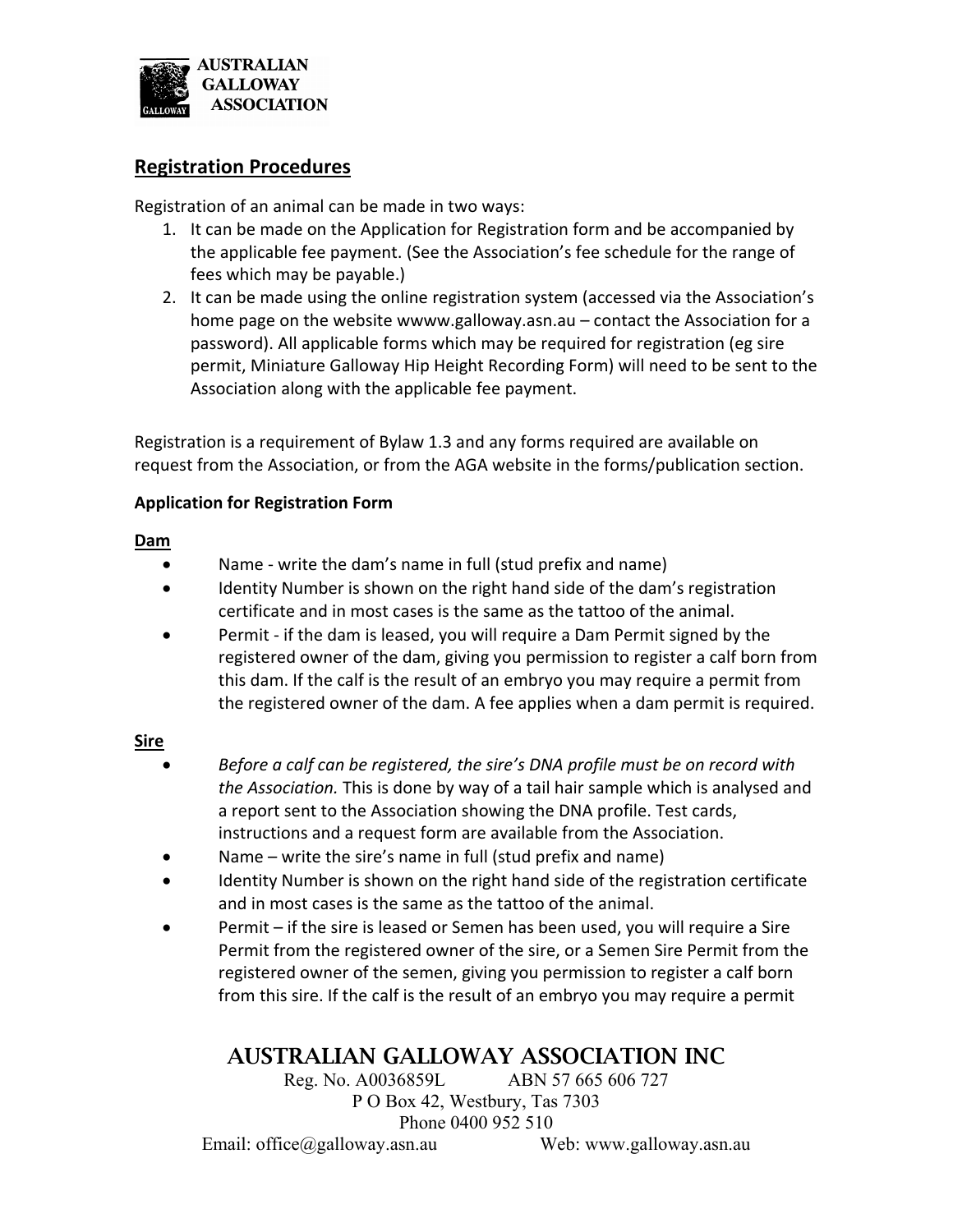

### **Registration Procedures**

Registration of an animal can be made in two ways:

- 1. It can be made on the Application for Registration form and be accompanied by the applicable fee payment. (See the Association's fee schedule for the range of fees which may be payable.)
- 2. It can be made using the online registration system (accessed via the Association's home page on the website wwww.galloway.asn.au – contact the Association for a password). All applicable forms which may be required for registration (eg sire permit, Miniature Galloway Hip Height Recording Form) will need to be sent to the Association along with the applicable fee payment.

Registration is a requirement of Bylaw 1.3 and any forms required are available on request from the Association, or from the AGA website in the forms/publication section.

### **Application for Registration Form**

#### **Dam**

- Name ‐ write the dam's name in full (stud prefix and name)
- Identity Number is shown on the right hand side of the dam's registration certificate and in most cases is the same as the tattoo of the animal.
- Permit if the dam is leased, you will require a Dam Permit signed by the registered owner of the dam, giving you permission to register a calf born from this dam. If the calf is the result of an embryo you may require a permit from the registered owner of the dam. A fee applies when a dam permit is required.

#### **Sire**

- *Before a calf can be registered, the sire's DNA profile must be on record with the Association.* This is done by way of a tail hair sample which is analysed and a report sent to the Association showing the DNA profile. Test cards, instructions and a request form are available from the Association.
- Name write the sire's name in full (stud prefix and name)
- Identity Number is shown on the right hand side of the registration certificate and in most cases is the same as the tattoo of the animal.
- Permit if the sire is leased or Semen has been used, you will require a Sire Permit from the registered owner of the sire, or a Semen Sire Permit from the registered owner of the semen, giving you permission to register a calf born from this sire. If the calf is the result of an embryo you may require a permit

# AUSTRALIAN GALLOWAY ASSOCIATION INC

Reg. No. A0036859L ABN 57 665 606 727 P O Box 42, Westbury, Tas 7303 Phone 0400 952 510

Email: office@galloway.asn.au Web: www.galloway.asn.au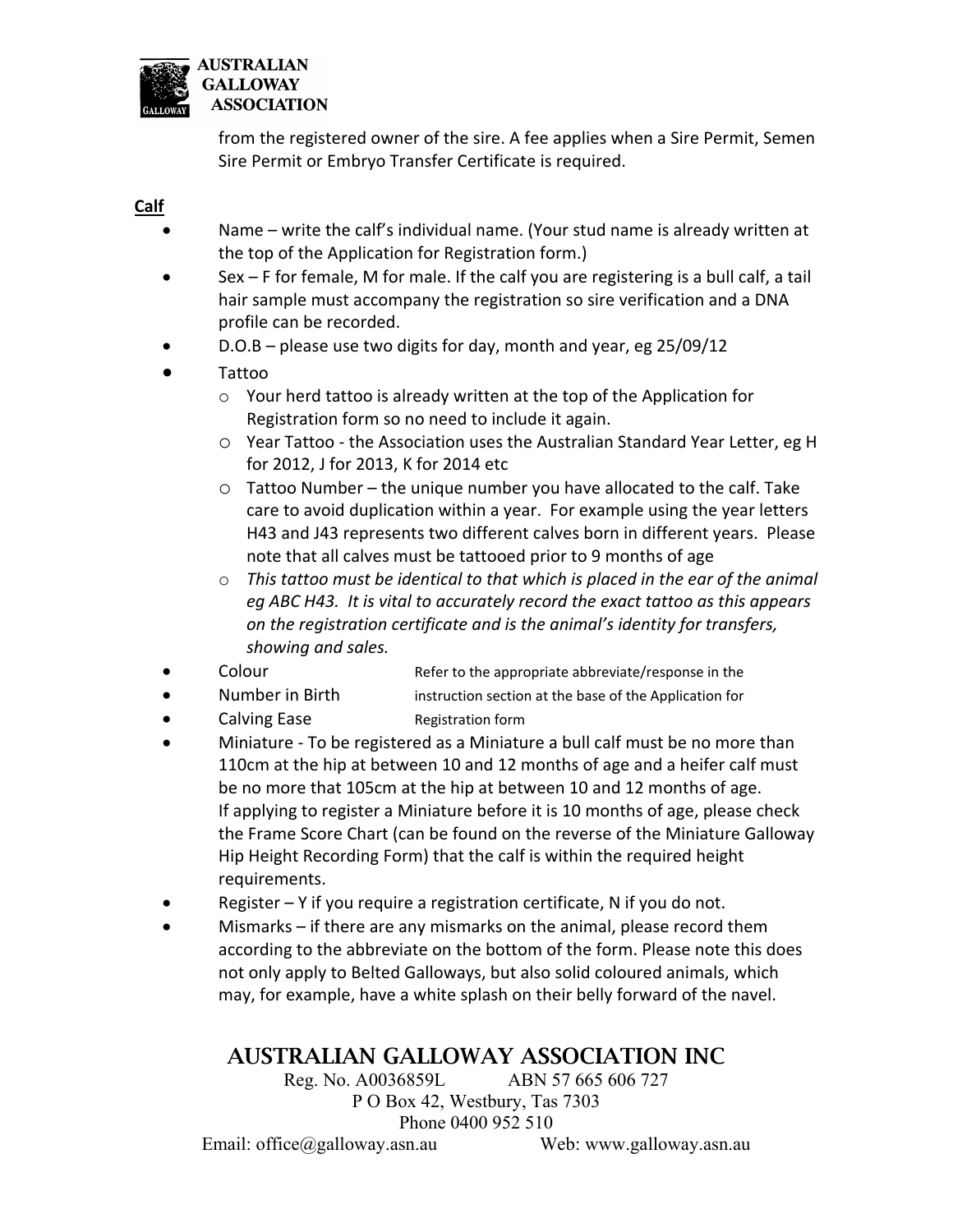

from the registered owner of the sire. A fee applies when a Sire Permit, Semen Sire Permit or Embryo Transfer Certificate is required.

#### **Calf**

- Name write the calf's individual name. (Your stud name is already written at the top of the Application for Registration form.)
- Sex F for female, M for male. If the calf you are registering is a bull calf, a tail hair sample must accompany the registration so sire verification and a DNA profile can be recorded.
- D.O.B please use two digits for day, month and year, eg 25/09/12
- Tattoo
	- o Your herd tattoo is already written at the top of the Application for Registration form so no need to include it again.
	- o Year Tattoo ‐ the Association uses the Australian Standard Year Letter, eg H for 2012, J for 2013, K for 2014 etc
	- o Tattoo Number the unique number you have allocated to the calf. Take care to avoid duplication within a year. For example using the year letters H43 and J43 represents two different calves born in different years. Please note that all calves must be tattooed prior to 9 months of age
	- o *This tattoo must be identical to that which is placed in the ear of the animal eg ABC H43. It is vital to accurately record the exact tattoo as this appears on the registration certificate and is the animal's identity for transfers, showing and sales.*
- Colour **COLOUI** Refer to the appropriate abbreviate/response in the
- Number in Birth instruction section at the base of the Application for
- Calving Ease Registration form
- Miniature ‐ To be registered as a Miniature a bull calf must be no more than 110cm at the hip at between 10 and 12 months of age and a heifer calf must be no more that 105cm at the hip at between 10 and 12 months of age. If applying to register a Miniature before it is 10 months of age, please check the Frame Score Chart (can be found on the reverse of the Miniature Galloway Hip Height Recording Form) that the calf is within the required height requirements.
- Register Y if you require a registration certificate, N if you do not.
- Mismarks if there are any mismarks on the animal, please record them according to the abbreviate on the bottom of the form. Please note this does not only apply to Belted Galloways, but also solid coloured animals, which may, for example, have a white splash on their belly forward of the navel.

# AUSTRALIAN GALLOWAY ASSOCIATION INC

Reg. No. A0036859L ABN 57 665 606 727 P O Box 42, Westbury, Tas 7303

Phone 0400 952 510

Email: office@galloway.asn.au Web: www.galloway.asn.au